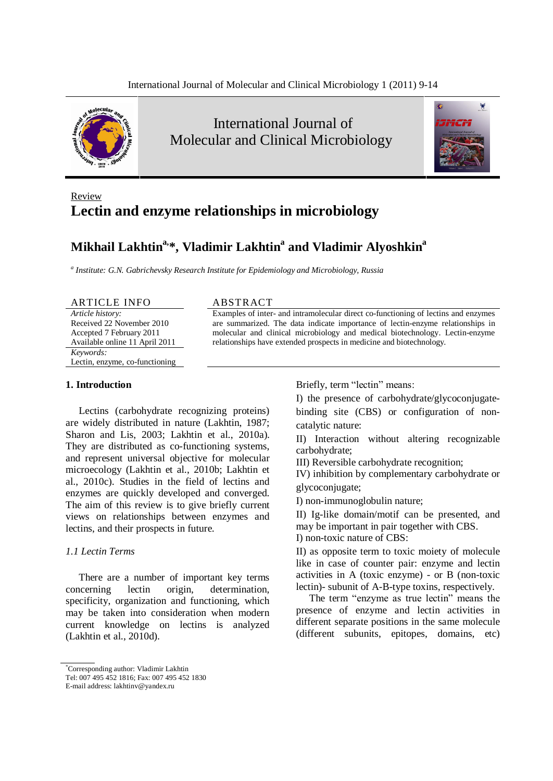

International Journal of Molecular and Clinical Microbiology



# Review **Lectin and enzyme relationships in microbiology**

# **Mikhail Lakhtin a,\* , Vladimir Lakhtin <sup>a</sup> and Vladimir Alyoshkin a**

*<sup>a</sup> Institute: G.N. Gabrichevsky Research Institute for Epidemiology and Microbiology, Russia*

#### ARTICLE INFO ABSTRACT

*Article history:* Received 22 November 2010 Accepted 7 February 2011 Available online 11 April 2011 *Keywords:* Lectin, enzyme, co-functioning

Examples of inter- and intramolecular direct co-functioning of lectins and enzymes are summarized. The data indicate importance of lectin-enzyme relationships in molecular and clinical microbiology and medical biotechnology. Lectin-enzyme relationships have extended prospects in medicine and biotechnology.

## **1. Introduction**

Lectins (carbohydrate recognizing proteins) are widely distributed in nature (Lakhtin, 1987; Sharon and Lis, 2003; Lakhtin et al., 2010a). They are distributed as co-functioning systems, and represent universal objective for molecular microecology (Lakhtin et al., 2010b; Lakhtin et al., 2010c). Studies in the field of lectins and enzymes are quickly developed and converged. The aim of this review is to give briefly current views on relationships between enzymes and lectins, and their prospects in future.

# *1.1 Lectin Terms*

There are a number of important key terms concerning lectin origin, determination, specificity, organization and functioning, which may be taken into consideration when modern current knowledge on lectins is analyzed (Lakhtin et al., 2010d).

Briefly, term "lectin" means:

I) the presence of carbohydrate/glycoconjugate binding site (CBS) or configuration of non catalytic nature:

II) Interaction without altering recognizable carbohydrate;

III) Reversible carbohydrate recognition;

IV) inhibition by complementary carbohydrate or glycoconjugate;

I) non-immunoglobulin nature;

II) Ig-like domain/motif can be presented, and may be important in pair together with CBS. I) non-toxic nature of CBS:

II) as opposite term to toxic moiety of molecule like in case of counter pair: enzyme and lectin activities in A (toxic enzyme) - or B (non-toxic

lectin)- subunit of A-B-type toxins, respectively. The term "enzyme as true lectin" means the presence of enzyme and lectin activities in different separate positions in the same molecule (different subunits, epitopes, domains, etc)

<sup>\*</sup>Corresponding author: Vladimir Lakhtin

Tel: 007 495 452 1816; Fax: 007 495 452 1830

E-mail address: [lakhtinv@yandex.ru](mailto:lakhtinv@yandex.ru)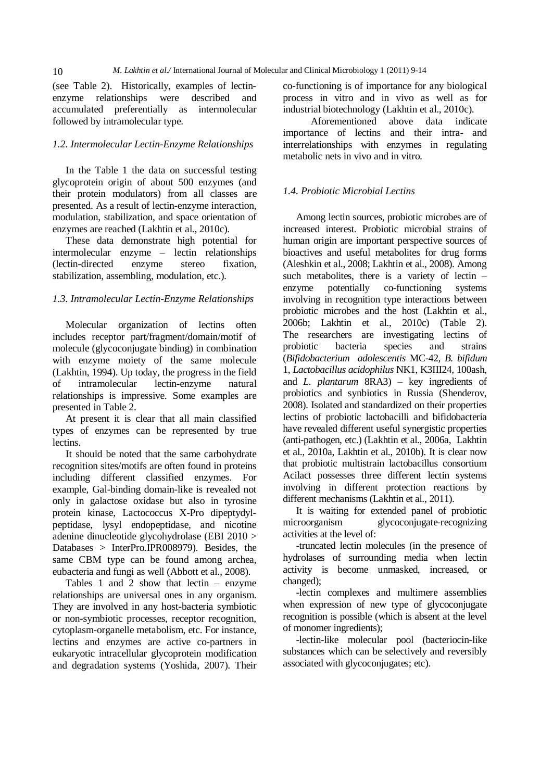10 *M. Lakhtin et al./* International Journal of Molecular and Clinical Microbiology 1 (2011) 9-14

(see Table 2). Historically, examples of lectin enzyme relationships were described and accumulated preferentially as intermolecular followed by intramolecular type.

## *1.2. Intermolecular Lectin-Enzyme Relationships*

In the Table 1 the data on successful testing glycoprotein origin of about 500 enzymes (and their protein modulators) from all classes are presented. As a result of lectin-enzyme interaction, modulation, stabilization, and space orientation of enzymes are reached (Lakhtin et al., 2010c).

These data demonstrate high potential for  $intermolecular$  enzyme – lectin relationships (lectin-directed enzyme stereo fixation, stabilization, assembling, modulation, etc.).

# *1.3. Intramolecular Lectin-Enzyme Relationships*

Molecular organization of lectins often includes receptor part/fragment/domain/motif of molecule (glycoconjugate binding) in combination with enzyme moiety of the same molecule (Lakhtin, 1994). Up today, the progress in the field of intramolecular lectin-enzyme natural relationships is impressive. Some examples are presented in Table 2.

At present it is clear that all main classified types of enzymes can be represented by true lectins.

It should be noted that the same carbohydrate recognition sites/motifs are often found in proteins including different classified enzymes. For example, Gal-binding domain-like is revealed not only in galactose oxidase but also in tyrosine protein kinase, Lactococcus X-Pro dipeptydyl peptidase, lysyl endopeptidase, and nicotine adenine dinucleotide glycohydrolase (EBI 2010 > Databases > InterPro.IPR008979). Besides, the same CBM type can be found among archea, eubacteria and fungi as well (Abbott et al., 2008).

Tables 1 and 2 show that lectin  $-$  enzyme relationships are universal ones in any organism. They are involved in any host-bacteria symbiotic or non-symbiotic processes, receptor recognition, cytoplasm-organelle metabolism, etc. For instance, lectins and enzymes are active co-partners in eukaryotic intracellular glycoprotein modification and degradation systems (Yoshida, 2007). Their co-functioning is of importance for any biological process in vitro and in vivo as well as for industrial biotechnology (Lakhtin et al., 2010c).

Aforementioned above data indicate importance of lectins and their intra- and interrelationships with enzymes in regulating metabolic nets in vivo and in vitro.

# *1.4. Probiotic Microbial Lectins*

Among lectin sources, probiotic microbes are of increased interest. Probiotic microbial strains of human origin are important perspective sources of bioactives and useful metabolites for drug forms (Aleshkin et al., 2008; Lakhtin et al., 2008). Among such metabolites, there is a variety of lectin  $$ enzyme potentially co-functioning systems involving in recognition type interactions between probiotic microbes and the host (Lakhtin et al., 2006b; Lakhtin et al., 2010c) (Table 2). The researchers are investigating lectins of probiotic bacteria species and strains (*Bifidobacterium adolescentis* MC-42, *B. bifidum* 1, *Lactobacillus acidophilus* NK1, K3III24, 100ash, and *L. plantarum* 8RA3) – key ingredients of probiotics and synbiotics in Russia (Shenderov, 2008). Isolated and standardized on their properties lectins of probiotic lactobacilli and bifidobacteria have revealed different useful synergistic properties (anti-pathogen, etc.) (Lakhtin et al., 2006a, Lakhtin et al., 2010a, Lakhtin et al., 2010b). It is clear now that probiotic multistrain lactobacillus consortium Acilact possesses three different lectin systems involving in different protection reactions by different mechanisms (Lakhtin et al., 2011).

It is waiting for extended panel of probiotic microorganism glycoconjugate-recognizing activities at the level of:

-truncated lectin molecules (in the presence of hydrolases of surrounding media when lectin activity is become unmasked, increased, or changed);

-lectin complexes and multimere assemblies when expression of new type of glycoconjugate recognition is possible (which is absent at the level of monomer ingredients);

-lectin-like molecular pool (bacteriocin-like substances which can be selectively and reversibly associated with glycoconjugates; etc).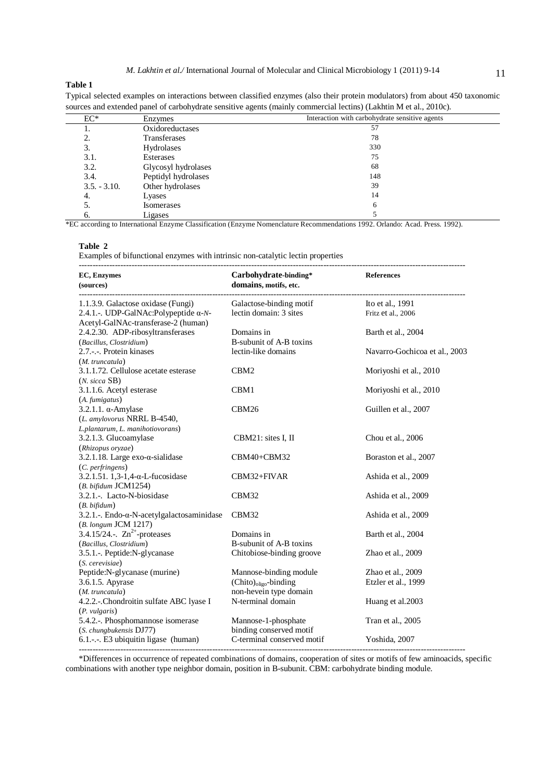#### **Table 1**

Typical selected examples on interactions between classified enzymes (also their protein modulators) from about 450 taxonomic sources and extended panel of carbohydrate sensitive agents (mainly commercial lectins) (Lakhtin M et al., 2010c).

| $EC^*$         | Enzymes             | Interaction with carbohydrate sensitive agents |  |
|----------------|---------------------|------------------------------------------------|--|
|                | Oxidoreductases     | 57                                             |  |
|                | Transferases        | 78                                             |  |
| 3.             | Hydrolases          | 330                                            |  |
| 3.1.           | Esterases           | 75                                             |  |
| 3.2.           | Glycosyl hydrolases | 68                                             |  |
| 3.4.           | Peptidyl hydrolases | 148                                            |  |
| $3.5. - 3.10.$ | Other hydrolases    | 39                                             |  |
| 4.             | Lyases              | 14                                             |  |
| 5.             | <b>Isomerases</b>   | 6                                              |  |
| 6.             | Ligases             |                                                |  |

\*EC according to International Enzyme Classification (Enzyme Nomenclature Recommendations 1992. Orlando: Acad. Press. 1992).

#### **Table 2**

Examples of bifunctional enzymes with intrinsic non-catalytic lectin properties

| <b>EC, Enzymes</b><br>(sources)                                                       | Carbohydrate-binding*<br>domains, motifs, etc.                                        | <b>References</b>                        |
|---------------------------------------------------------------------------------------|---------------------------------------------------------------------------------------|------------------------------------------|
| 1.1.3.9. Galactose oxidase (Fungi)                                                    | Galactose-binding motif                                                               | Ito et al., 1991                         |
| 2.4.1.-. UDP-GalNAc:Polypeptide $\alpha$ -N-<br>Acetyl-GalNAc-transferase-2 (human)   | lectin domain: 3 sites                                                                | Fritz et al., 2006                       |
| 2.4.2.30. ADP-ribosyltransferases<br>(Bacillus, Clostridium)                          | Domains in<br><b>B-subunit of A-B toxins</b>                                          | Barth et al., 2004                       |
| 2.7.-.-. Protein kinases<br>$(M.$ truncatula)                                         | lectin-like domains                                                                   | Navarro-Gochicoa et al., 2003            |
| 3.1.1.72. Cellulose acetate esterase<br>$(N. \text{ sicca SB})$                       | CBM <sub>2</sub>                                                                      | Moriyoshi et al., 2010                   |
| 3.1.1.6. Acetyl esterase<br>$(A.$ fumigatus $)$                                       | CBM1                                                                                  | Moriyoshi et al., 2010                   |
| $3.2.1.1. \alpha$ -Amylase<br>(L. amylovorus NRRL B-4540,                             | CBM <sub>26</sub>                                                                     | Guillen et al., 2007                     |
| L.plantarum, L. manihotiovorans)<br>3.2.1.3. Glucoamylase<br>(Rhizopus oryzae)        | CBM21: sites I, II                                                                    | Chou et al., 2006                        |
| 3.2.1.18. Large exo- $\alpha$ -sialidase                                              | CBM40+CBM32                                                                           | Boraston et al., 2007                    |
| (C. perfringens)<br>$3.2.1.51.1, 3-1, 4-\alpha$ -L-fucosidase<br>(B. bifidum JCM1254) | CBM32+FIVAR                                                                           | Ashida et al., 2009                      |
| 3.2.1.-. Lacto-N-biosidase<br>$(B. \textit{bifidum})$                                 | CBM32                                                                                 | Ashida et al., 2009                      |
| 3.2.1. -. Endo- $\alpha$ -N-acetylgalactosaminidase<br>(B. longum JCM 1217)           | CBM32                                                                                 | Ashida et al., 2009                      |
| 3.4.15/24.-. $\text{Zn}^{2+}$ -proteases<br>(Bacillus, Clostridium)                   | Domains in<br><b>B-subunit of A-B toxins</b>                                          | Barth et al., 2004                       |
| 3.5.1.-. Peptide:N-glycanase<br>(S. cerevisiae)                                       | Chitobiose-binding groove                                                             | Zhao et al., 2009                        |
| Peptide:N-glycanase (murine)<br>3.6.1.5. Apyrase<br>$(M.$ truncatula)                 | Mannose-binding module<br>(Chito) <sub>oligo</sub> -binding<br>non-hevein type domain | Zhao et al., 2009<br>Etzler et al., 1999 |
| 4.2.2.-.Chondroitin sulfate ABC lyase I<br>(P. <i>vulgaris</i> )                      | N-terminal domain                                                                     | Huang et al. 2003                        |
| 5.4.2.-. Phosphomannose isomerase<br>(S. chungbukensis DJ77)                          | Mannose-1-phosphate<br>binding conserved motif                                        | Tran et al., 2005                        |
| 6.1.-.-. E3 ubiquitin ligase (human)                                                  | C-terminal conserved motif                                                            | Yoshida, 2007                            |

\*Differences in occurrence of repeated combinations of domains, cooperation of sites or motifs of few aminoacids, specific combinations with another type neighbor domain, position in B-subunit. CBM: carbohydrate binding module.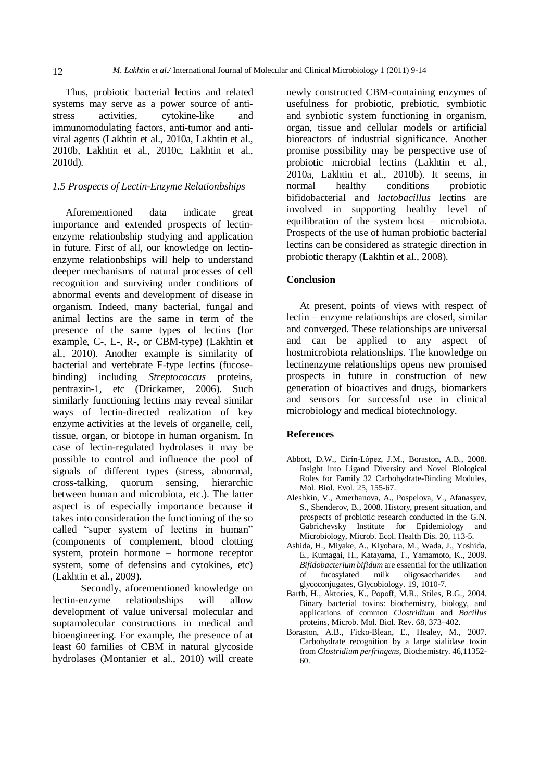Thus, probiotic bacterial lectins and related systems may serve as a power source of anti stress activities, cytokine-like and immunomodulating factors, anti-tumor and anti viral agents (Lakhtin et al., 2010a, Lakhtin et al., 2010b, Lakhtin et al., 2010c, Lakhtin et al., 2010d).

# *1.5 Prospects of Lectin-Enzyme Relationbships*

Aforementioned data indicate great importance and extended prospects of lectin enzyme relationbship studying and application in future. First of all, our knowledge on lectin enzyme relationbships will help to understand deeper mechanisms of natural processes of cell recognition and surviving under conditions of abnormal events and development of disease in organism. Indeed, many bacterial, fungal and animal lectins are the same in term of the presence of the same types of lectins (for example, C-, L-, R-, or CBM-type) (Lakhtin et al., 2010). Another example is similarity of bacterial and vertebrate F-type lectins (fucose binding) including *Streptococcus* proteins, pentraxin-1, etc (Drickamer, 2006). Such similarly functioning lectins may reveal similar ways of lectin-directed realization of key enzyme activities at the levels of organelle, cell, tissue, organ, or biotope in human organism. In case of lectin-regulated hydrolases it may be possible to control and influence the pool of signals of different types (stress, abnormal, cross-talking, quorum sensing, hierarchic between human and microbiota, etc.). The latter aspect is of especially importance because it takes into consideration the functioning of the so called "super system of lectins in human" (components of complement, blood clotting system, protein hormone  $-$  hormone receptor system, some of defensins and cytokines, etc) (Lakhtin et al., 2009).

Secondly, aforementioned knowledge on lectin-enzyme relationbships will allow development of value universal molecular and suptamolecular constructions in medical and bioengineering. For example, the presence of at least 60 families of CBM in natural glycoside hydrolases (Montanier et al., 2010) will create newly constructed CBM-containing enzymes of usefulness for probiotic, prebiotic, symbiotic and synbiotic system functioning in organism, organ, tissue and cellular models or artificial bioreactors of industrial significance. Another promise possibility may be perspective use of probiotic microbial lectins (Lakhtin et al., 2010‡, Lakhtin et al., 2010b). It seems, in normal healthy conditions probiotic bifidobacterial and *lactobacillus* lectins are involved in supporting healthy level of equilibration of the system host  $-$  microbiota. Prospects of the use of human probiotic bacterial lectins can be considered as strategic direction in probiotic therapy (Lakhtin et al., 2008).

#### **Conclusion**

At present, points of views with respect of  $lectin - enzyme relationshins are closed, similar$ and converged. These relationships are universal and can be applied to any aspect of hostmicrobiota relationships. The knowledge on lectinenzyme relationships opens new promised prospects in future in construction of new generation of bioactives and drugs, biomarkers and sensors for successful use in clinical microbiology and medical biotechnology.

#### **References**

- Abbott, D.W., Eirín-López, J.M., Boraston, A.B., 2008. Insight into Ligand Diversity and Novel Biological Roles for Family 32 Carbohydrate-Binding Modules, Mol. Biol. Evol. 25, 155-67.
- Aleshkin, V., Amerhanova, A., Pospelova, V., Afanasyev, S., Shenderov, B., 2008. History, present situation, and prospects of probiotic research conducted in the G.N. Gabrichevsky Institute for Epidemiology and Microbiology, Microb. Ecol. Health Dis. 20, 113-5.
- Ashida, H., Miyake, A., Kiyohara, M., Wada, J., Yoshida, E., Kumagai, H., Katayama, T., Yamamoto, K., 2009. *Bifidobacterium bifidum* are essential for the utilization of fucosylated milk oligosaccharides and glycoconjugates, Glycobiology. 19, 1010-7.
- Barth, H., Aktories, K., Popoff, M.R., Stiles, B.G., 2004. Binary bacterial toxins: biochemistry, biology, and applications of common *Clostridium* and *Bacillus* proteins, Microb. Mol. Biol. Rev. 68, 373-402.
- Boraston, A.B., Ficko-Blean, E., Healey, M., 2007. Carbohydrate recognition by a large sialidase toxin from *Clostridium perfringens*, Biochemistry. 46,11352- 60.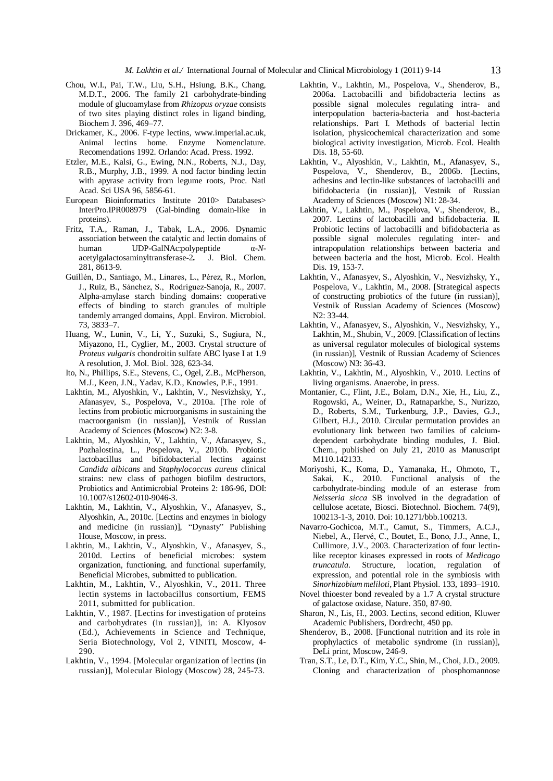- Chou, W.I., Pai, T.W., Liu, S.H., Hsiung, B.K., Chang, M.D.T., 2006. The family 21 carbohydrate-binding module of glucoamylase from *Rhizopus oryzae* consists of two sites playing distinct roles in ligand binding, Biochem J. 396, 469-77.
- Drickamer, K., 2006. F-type lectins, [www.imperial.ac.uk,](http://www.imperial.ac.uk,) Animal lectins home. Enzyme Nomenclature. Recomendations 1992. Orlando: Acad. Press. 1992.
- Etzler, M.E., Kalsi, G., Ewing, N.N., Roberts, N.J., Day, R.B., Murphy, J.B., 1999. A nod factor binding lectin with apyrase activity from legume roots, Proc. Natl Acad. Sci USA 96,5856-61.
- European Bioinformatics Institute 2010> Databases> InterPro.IPR008979 (Gal-binding domain-like in proteins).
- Fritz, T.A., Raman, J., Tabak, L.A., 2006. Dynamic association between the catalytic and lectin domains of human UDP-GalNAc:polypeptide α-*N*acetylgalactosaminyltransferase-2*.* J. Biol. Chem. 281, 8613-9.
- Guillén, D., Santiago, M., Linares, L., Pérez, R., Morlon, J., Ruiz, B., Sánchez, S., Rodríguez-Sanoja, R., 2007. Alpha-amylase starch binding domains: cooperative effects of binding to starch granules of multiple tandemly arranged domains, Appl. Environ. Microbiol. 73, 3833-7.
- Huang, W., Lunin, V., Li, Y., Suzuki, S., Sugiura, N., Miyazono, H., Cyglier, M., 2003. Crystal structure of *Proteus vulgaris* chondroitin sulfate ABC lyase I at 1.9 A resolution, J. Mol. Biol. 328, 623-34.
- Ito, N., Phillips, S.E., Stevens, C., Ogel, Z.B., McPherson, M.J., Keen, J.N., Yadav, K.D., Knowles, P.F., 1991.
- Lakhtin, M., Alyoshkin, V., Lakhtin, V., Nesvizhsky, Y., Afanasyev, S., Pospelova, V., 2010a. [The role of lectins from probiotic microorganisms in sustaining the macroorganism (in russian)], Vestnik of Russian Academy of Sciences (Moscow) N2: 3-8.
- Lakhtin, M., Alyoshkin, V., Lakhtin, V., Afanasyev, S., Pozhalostina, L., Pospelova, V., 2010b. Probiotic lactobacillus and bifidobacterial lectins against *Candida albicans* and *Staphylococcus aureus* clinical strains: new class of pathogen biofilm destructors, Probiotics and Antimicrobial Proteins 2: 186-96, DOI: 10.1007/s12602-010-9046-3.
- Lakhtin, M., Lakhtin, V., Alyoshkin, V., Afanasyev, S., Alyoshkin, A., 2010c. [Lectins and enzymes in biology and medicine (in russian)], "Dynasty" Publishing House, Moscow, in press.
- Lakhtin, M., Lakhtin, V., Alyoshkin, V., Afanasyev, S., 2010d. Lectins of beneficial microbes: system organization, functioning, and functional superfamily, Beneficial Microbes, submitted to publication.
- Lakhtin, M., Lakhtin, V., Alyoshkin, V., 2011. Three lectin systems in lactobacillus consortium, FEMS 2011, submitted for publication.
- Lakhtin, V., 1987. [Lectins for investigation of proteins and carbohydrates (in russian)], in: A. Klyosov (Ed.), Achievements in Science and Technique, Seria Biotechnology, Vol 2, VINITI, Moscow, 4- 290.
- Lakhtin, V., 1994. [Molecular organization of lectins (in russian)], Molecular Biology (Moscow) 28, 245-73.
- Lakhtin, V., Lakhtin, M., Pospelova, V., Shenderov, B., 2006a. Lactobacilli and bifidobacteria lectins as possible signal molecules regulating intra- and interpopulation bacteria-bacteria and host-bacteria relationships. Part I. Methods of bacterial lectin isolation, physicochemical characterization and some biological activity investigation, Microb. Ecol. Health Dis. 18, 55-60.
- Lakhtin, V., Alyoshkin, V., Lakhtin, M., Afanasyev, S., Pospelova, V., Shenderov, B., 2006b. [Lectins, adhesins and lectin-like substances of lactobacilli and bifidobacteria (in russian)], Vestnik of Russian Academy of Sciences (Moscow) N1: 28-34.
- Lakhtin, V., Lakhtin, M., Pospelova, V., Shenderov, B., 2007. Lectins of lactobacilli and bifidobacteria. II. Probiotic lectins of lactobacilli and bifidobacteria as possible signal molecules regulating inter- and intrapopulation relationships between bacteria and between bacteria and the host, Microb. Ecol. Health Dis. 19, 153-7.
- Lakhtin, V., Afanasyev, S., Alyoshkin, V., Nesvizhsky, Y., Pospelova, V., Lakhtin, M., 2008. [Strategical aspects of constructing probiotics of the future (in russian)], Vestnik of Russian Academy of Sciences (Moscow) N2: 33-44.
- Lakhtin, V., Afanasyev, S., Alyoshkin, V., Nesvizhsky, Y., Lakhtin, M., Shubin, V., 2009. [Classification of lectins as universal regulator molecules of biological systems (in russian)], Vestnik of Russian Academy of Sciences (Moscow) N3: 36-43.
- Lakhtin, V., Lakhtin, M., Alyoshkin, V., 2010. Lectins of living organisms. Anaerobe, in press.
- Montanier, C., Flint, J.E., Bolam, D.N., Xie, H., Liu, Z., Rogowski, A., Weiner, D., Ratnaparkhe, S., Nurizzo, D., Roberts, S.M., Turkenburg, J.P., Davies, G.J., Gilbert, H.J., 2010. Circular permutation provides an evolutionary link between two families of calcium dependent carbohydrate binding modules, J. Biol. Chem., published on July 21, 2010 as Manuscript M110.142133.
- Moriyoshi, K., Koma, D., Yamanaka, H., Ohmoto, T., Sakai, K., 2010. Functional analysis of the carbohydrate-binding module of an esterase from *Neisseria sicca* SB involved in the degradation of cellulose acetate, Biosci. Biotechnol. Biochem. 74(9), 100213-1-3, 2010. Doi: 10.1271/bbb.100213.
- Navarro-Gochicoa, M.T., Camut, S., Timmers, A.C.J., Niebel, A., HervÈ, C., Boutet, E., Bono, J.J., Anne, I., Cullimore, J.V., 2003. Characterization of four lectinlike receptor kinases expressed in roots of *Medicago truncatula*. Structure, location, regulation of expression, and potential role in the symbiosis with *Sinorhizobium meliloti*, Plant Physiol. 133, 1893-1910.
- Novel thioester bond revealed by a 1.7 A crystal structure of galactose oxidase, Nature. 350, 87-90.
- Sharon, N., Lis, H., 2003. Lectins, second edition, Kluwer Academic Publishers, Dordrecht, 450 pp.
- Shenderov, B., 2008. [Functional nutrition and its role in prophylactics of metabolic syndrome (in russian)], DeLi print, Moscow, 246-9.
- Tran, S.T., Le, D.T., Kim, Y.C., Shin, M., Choi, J.D., 2009. Cloning and characterization of phosphomannose